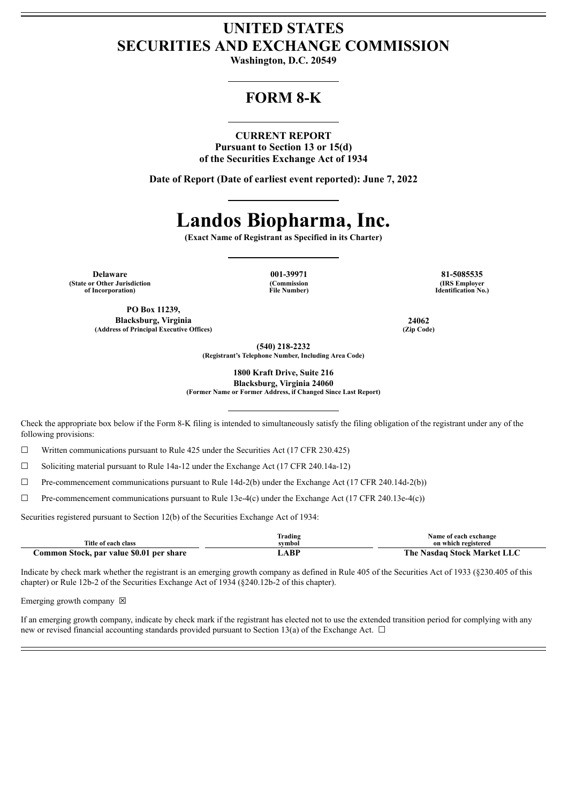## **UNITED STATES SECURITIES AND EXCHANGE COMMISSION**

**Washington, D.C. 20549**

## **FORM 8-K**

### **CURRENT REPORT**

**Pursuant to Section 13 or 15(d) of the Securities Exchange Act of 1934**

**Date of Report (Date of earliest event reported): June 7, 2022**

# **Landos Biopharma, Inc.**

**(Exact Name of Registrant as Specified in its Charter)**

**Delaware 001-39971 81-5085535 (State or Other Jurisdiction of Incorporation)**

**(Commission File Number)**

**(IRS Employer Identification No.)**

**PO Box 11239, Blacksburg, Virginia 24062 (Address of Principal Executive Offices) (Zip Code)**

**(540) 218-2232**

**(Registrant's Telephone Number, Including Area Code)**

**1800 Kraft Drive, Suite 216**

**Blacksburg, Virginia 24060 (Former Name or Former Address, if Changed Since Last Report)**

Check the appropriate box below if the Form 8-K filing is intended to simultaneously satisfy the filing obligation of the registrant under any of the following provisions:

 $\Box$  Written communications pursuant to Rule 425 under the Securities Act (17 CFR 230.425)

☐ Soliciting material pursuant to Rule 14a-12 under the Exchange Act (17 CFR 240.14a-12)

 $\Box$  Pre-commencement communications pursuant to Rule 14d-2(b) under the Exchange Act (17 CFR 240.14d-2(b))

☐ Pre-commencement communications pursuant to Rule 13e-4(c) under the Exchange Act (17 CFR 240.13e-4(c))

Securities registered pursuant to Section 12(b) of the Securities Exchange Act of 1934:

|                                          | Trading | Name of each exchange       |
|------------------------------------------|---------|-----------------------------|
| Title of each class                      | svmbol  | on which registered         |
| Common Stock, par value \$0.01 per share | ABP     | The Nasdaq Stock Market LLC |

Indicate by check mark whether the registrant is an emerging growth company as defined in Rule 405 of the Securities Act of 1933 (§230.405 of this chapter) or Rule 12b-2 of the Securities Exchange Act of 1934 (§240.12b-2 of this chapter).

Emerging growth company  $\boxtimes$ 

If an emerging growth company, indicate by check mark if the registrant has elected not to use the extended transition period for complying with any new or revised financial accounting standards provided pursuant to Section 13(a) of the Exchange Act.  $\Box$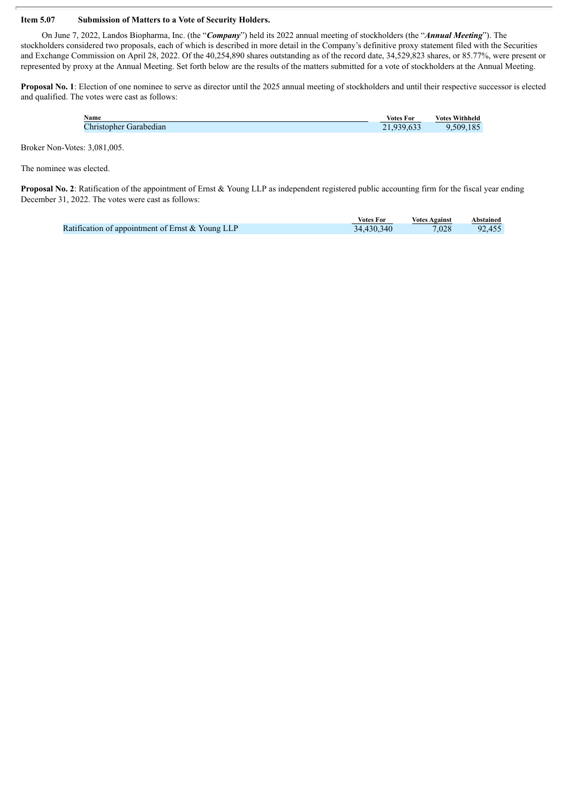### **Item 5.07 Submission of Matters to a Vote of Security Holders.**

On June 7, 2022, Landos Biopharma, Inc. (the "*Company*") held its 2022 annual meeting of stockholders (the "*Annual Meeting*"). The stockholders considered two proposals, each of which is described in more detail in the Company's definitive proxy statement filed with the Securities and Exchange Commission on April 28, 2022. Of the 40,254,890 shares outstanding as of the record date, 34,529,823 shares, or 85.77%, were present or represented by proxy at the Annual Meeting. Set forth below are the results of the matters submitted for a vote of stockholders at the Annual Meeting.

**Proposal No. 1**: Election of one nominee to serve as director until the 2025 annual meeting of stockholders and until their respective successor is elected and qualified. The votes were cast as follows:

| Name                                   | <b>Votes For</b> | <b>Votes Withheld</b> |
|----------------------------------------|------------------|-----------------------|
| $\mathcal{L}$ hristopher<br>Garabedian | .633             | 509<br>u<br>.183      |
|                                        |                  |                       |

Broker Non-Votes: 3,081,005.

The nominee was elected.

**Proposal No. 2**: Ratification of the appointment of Ernst & Young LLP as independent registered public accounting firm for the fiscal year ending December 31, 2022. The votes were cast as follows:

|                                                  | <b>Votes For</b> | <b>Votes Against</b> | Abstained |
|--------------------------------------------------|------------------|----------------------|-----------|
| Ratification of appointment of Ernst & Young LLP | 34,430,340       | 7,028                | 92,455    |